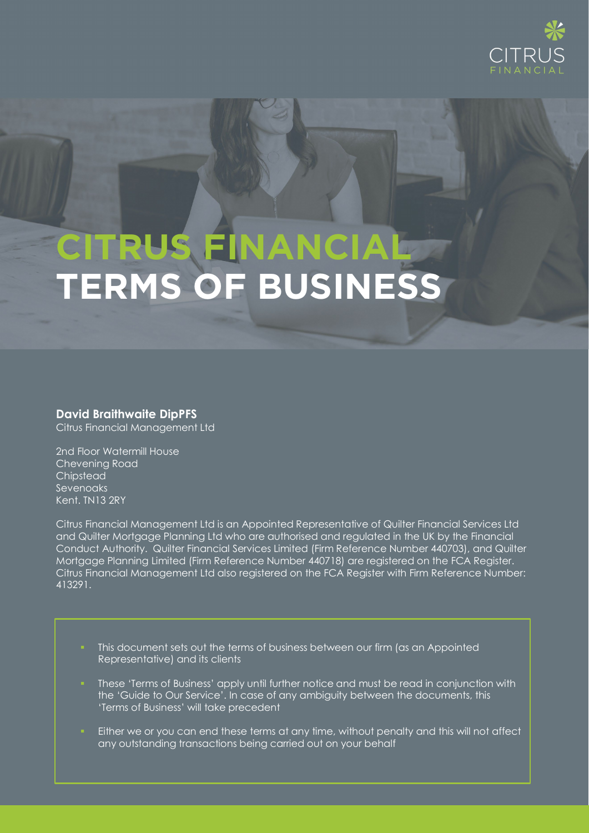

# **CITRUS FINANCIAL TERMS OF BUSINESS**

**David Braithwaite DipPFS** Citrus Financial Management Ltd

2nd Floor Watermill House Chevening Road **Chipstead** Sevenoaks Kent. TN13 2RY

Citrus Financial Management Ltd is an Appointed Representative of Quilter Financial Services Ltd and Quilter Mortgage Planning Ltd who are authorised and regulated in the UK by the Financial Conduct Authority. Quilter Financial Services Limited (Firm Reference Number 440703), and Quilter Mortgage Planning Limited (Firm Reference Number 440718) are registered on the FCA Register. Citrus Financial Management Ltd also registered on the FCA Register with Firm Reference Number: 413291.

- This document sets out the terms of business between our firm (as an Appointed Representative) and its clients
- These 'Terms of Business' apply until further notice and must be read in conjunction with the 'Guide to Our Service'. In case of any ambiguity between the documents, this 'Terms of Business' will take precedent
- **Either we or you can end these terms at any time, without penalty and this will not affect** any outstanding transactions being carried out on your behalf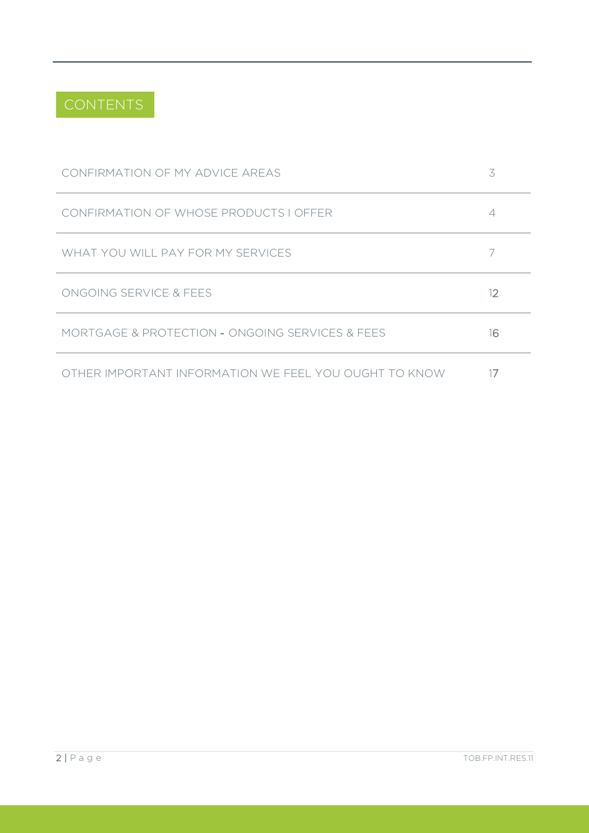

| CONFIRMATION OF MY ADVICE AREAS                       | 3  |
|-------------------------------------------------------|----|
| CONFIRMATION OF WHOSE PRODUCTS I OFFER                |    |
| WHAT YOU WILL PAY FOR MY SERVICES                     |    |
| ONGOING SERVICE & FEES                                | 12 |
| MORTGAGE & PROTECTION - ONGOING SERVICES & FEES       | 16 |
| OTHER IMPORTANT INFORMATION WE FEEL YOU OUGHT TO KNOW |    |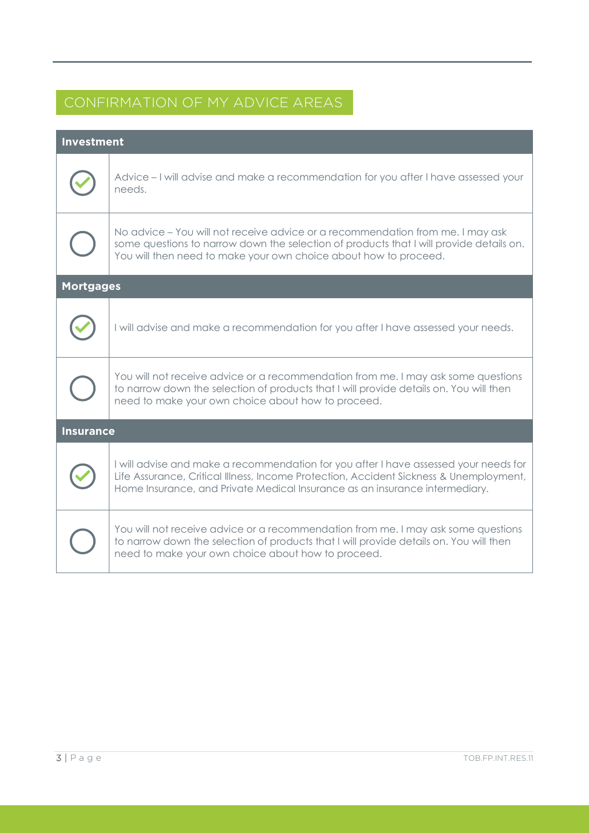# CONFIRMATION OF MY ADVICE AREAS

| <b>Investment</b> |                                                                                                                                                                                                                                                               |  |
|-------------------|---------------------------------------------------------------------------------------------------------------------------------------------------------------------------------------------------------------------------------------------------------------|--|
|                   | Advice – I will advise and make a recommendation for you after I have assessed your<br>needs.                                                                                                                                                                 |  |
|                   | No advice – You will not receive advice or a recommendation from me. I may ask<br>some questions to narrow down the selection of products that I will provide details on.<br>You will then need to make your own choice about how to proceed.                 |  |
| <b>Mortgages</b>  |                                                                                                                                                                                                                                                               |  |
|                   | I will advise and make a recommendation for you after I have assessed your needs.                                                                                                                                                                             |  |
|                   | You will not receive advice or a recommendation from me. I may ask some questions<br>to narrow down the selection of products that I will provide details on. You will then<br>need to make your own choice about how to proceed.                             |  |
| <b>Insurance</b>  |                                                                                                                                                                                                                                                               |  |
|                   | I will advise and make a recommendation for you after I have assessed your needs for<br>Life Assurance, Critical Illness, Income Protection, Accident Sickness & Unemployment,<br>Home Insurance, and Private Medical Insurance as an insurance intermediary. |  |
|                   | You will not receive advice or a recommendation from me. I may ask some questions<br>to narrow down the selection of products that I will provide details on. You will then<br>need to make your own choice about how to proceed.                             |  |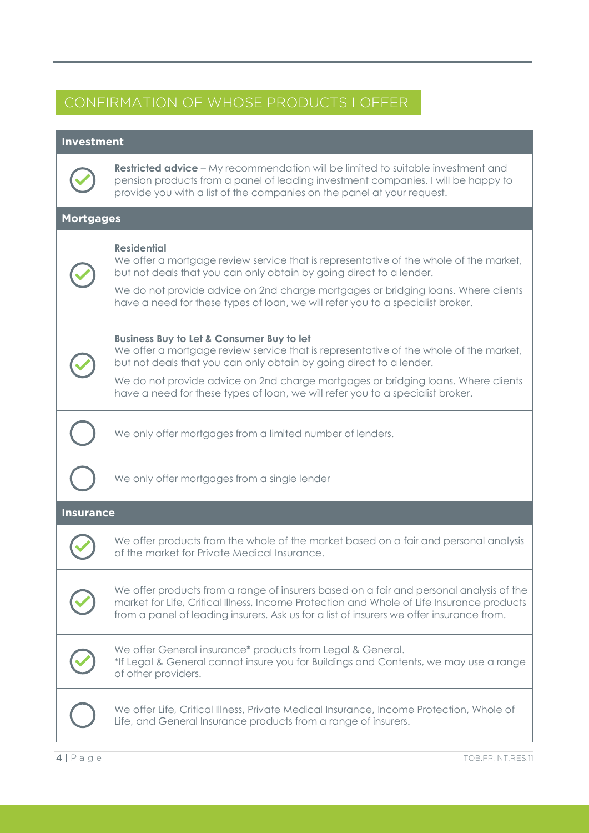# CONFIRMATION OF WHOSE PRODUCTS I OFFER

# **Investment**



**Restricted advice** – My recommendation will be limited to suitable investment and pension products from a panel of leading investment companies. I will be happy to provide you with a list of the companies on the panel at your request.

# **Mortgages Residential** We offer a mortgage review service that is representative of the whole of the market, but not deals that you can only obtain by going direct to a lender. We do not provide advice on 2nd charge mortgages or bridging loans. Where clients have a need for these types of loan, we will refer you to a specialist broker. **Business Buy to Let & Consumer Buy to let** We offer a mortgage review service that is representative of the whole of the market, but not deals that you can only obtain by going direct to a lender. We do not provide advice on 2nd charge mortgages or bridging loans. Where clients have a need for these types of loan, we will refer you to a specialist broker. We only offer mortgages from a limited number of lenders. We only offer mortgages from a single lender **Insurance** We offer products from the whole of the market based on a fair and personal analysis of the market for Private Medical Insurance. We offer products from a range of insurers based on a fair and personal analysis of the market for Life, Critical Illness, Income Protection and Whole of Life Insurance products from a panel of leading insurers. Ask us for a list of insurers we offer insurance from. We offer General insurance\* products from Legal & General. \*If Legal & General cannot insure you for Buildings and Contents, we may use a range of other providers. We offer Life, Critical Illness, Private Medical Insurance, Income Protection, Whole of Life, and General Insurance products from a range of insurers.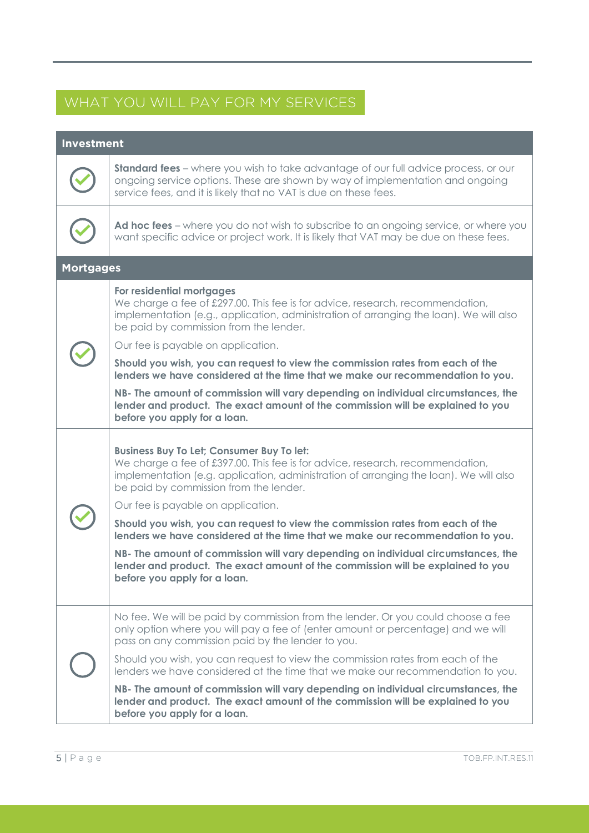# WHAT YOU WILL PAY FOR MY SERVICES

# **Investment Standard fees** – where you wish to take advantage of our full advice process, or our ongoing service options. These are shown by way of implementation and ongoing service fees, and it is likely that no VAT is due on these fees. **Ad hoc fees** – where you do not wish to subscribe to an ongoing service, or where you want specific advice or project work. It is likely that VAT may be due on these fees. **Mortgages For residential mortgages** We charge a fee of £297.00. This fee is for advice, research, recommendation, implementation (e.g., application, administration of arranging the loan). We will also be paid by commission from the lender. Our fee is payable on application. **Should you wish, you can request to view the commission rates from each of the lenders we have considered at the time that we make our recommendation to you. NB- The amount of commission will vary depending on individual circumstances, the lender and product. The exact amount of the commission will be explained to you before you apply for a loan. Business Buy To Let; Consumer Buy To let:** We charge a fee of £397.00. This fee is for advice, research, recommendation, implementation (e.g. application, administration of arranging the loan). We will also be paid by commission from the lender. Our fee is payable on application. **Should you wish, you can request to view the commission rates from each of the lenders we have considered at the time that we make our recommendation to you. NB- The amount of commission will vary depending on individual circumstances, the lender and product. The exact amount of the commission will be explained to you before you apply for a loan.** No fee. We will be paid by commission from the lender. Or you could choose a fee only option where you will pay a fee of (enter amount or percentage) and we will pass on any commission paid by the lender to you. Should you wish, you can request to view the commission rates from each of the lenders we have considered at the time that we make our recommendation to you. **NB- The amount of commission will vary depending on individual circumstances, the lender and product. The exact amount of the commission will be explained to you before you apply for a loan.**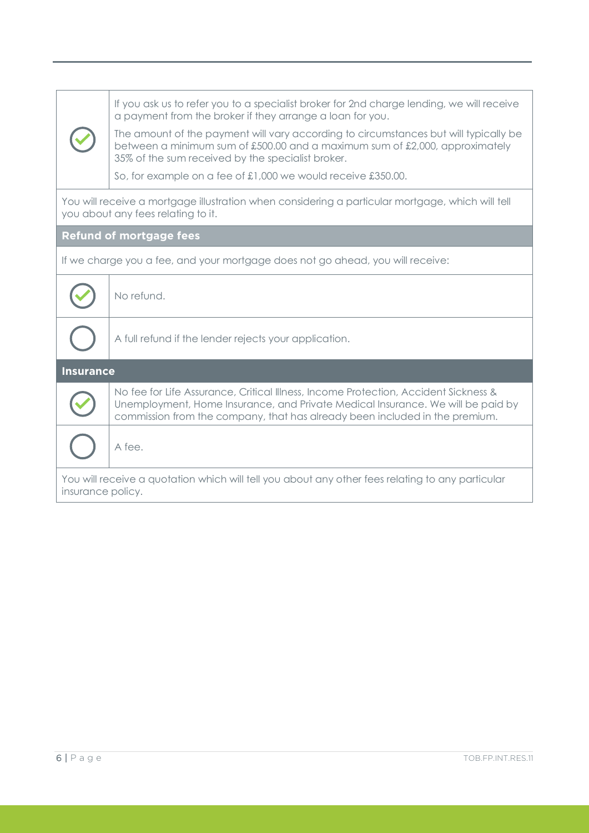|                                                                                                                                        | If you ask us to refer you to a specialist broker for 2nd charge lending, we will receive<br>a payment from the broker if they arrange a loan for you.<br>The amount of the payment will vary according to circumstances but will typically be<br>between a minimum sum of £500.00 and a maximum sum of £2,000, approximately<br>35% of the sum received by the specialist broker.<br>So, for example on a fee of £1,000 we would receive £350.00. |  |
|----------------------------------------------------------------------------------------------------------------------------------------|----------------------------------------------------------------------------------------------------------------------------------------------------------------------------------------------------------------------------------------------------------------------------------------------------------------------------------------------------------------------------------------------------------------------------------------------------|--|
| You will receive a mortgage illustration when considering a particular mortgage, which will tell<br>you about any fees relating to it. |                                                                                                                                                                                                                                                                                                                                                                                                                                                    |  |
| <b>Refund of mortgage fees</b>                                                                                                         |                                                                                                                                                                                                                                                                                                                                                                                                                                                    |  |
| If we charge you a fee, and your mortgage does not go ahead, you will receive:                                                         |                                                                                                                                                                                                                                                                                                                                                                                                                                                    |  |
|                                                                                                                                        | No refund.                                                                                                                                                                                                                                                                                                                                                                                                                                         |  |
|                                                                                                                                        | A full refund if the lender rejects your application.                                                                                                                                                                                                                                                                                                                                                                                              |  |
| <b>Insurance</b>                                                                                                                       |                                                                                                                                                                                                                                                                                                                                                                                                                                                    |  |
|                                                                                                                                        | No fee for Life Assurance, Critical Illness, Income Protection, Accident Sickness &<br>Unemployment, Home Insurance, and Private Medical Insurance. We will be paid by<br>commission from the company, that has already been included in the premium.                                                                                                                                                                                              |  |
|                                                                                                                                        | A fee.                                                                                                                                                                                                                                                                                                                                                                                                                                             |  |
| You will receive a quotation which will tell you about any other fees relating to any particular<br>insurance policy.                  |                                                                                                                                                                                                                                                                                                                                                                                                                                                    |  |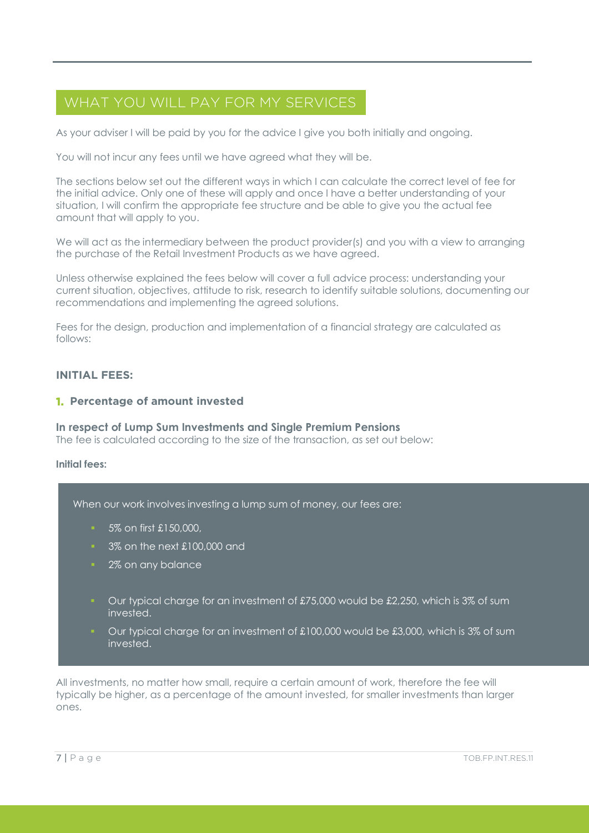# WHAT YOU WILL PAY FOR MY SERVICES

As your adviser I will be paid by you for the advice I give you both initially and ongoing.

You will not incur any fees until we have agreed what they will be.

The sections below set out the different ways in which I can calculate the correct level of fee for the initial advice. Only one of these will apply and once I have a better understanding of your situation, I will confirm the appropriate fee structure and be able to give you the actual fee amount that will apply to you.

We will act as the intermediary between the product provider(s) and you with a view to arranging the purchase of the Retail Investment Products as we have agreed.

Unless otherwise explained the fees below will cover a full advice process: understanding your current situation, objectives, attitude to risk, research to identify suitable solutions, documenting our recommendations and implementing the agreed solutions.

Fees for the design, production and implementation of a financial strategy are calculated as follows:

# **INITIAL FEES:**

# **1. Percentage of amount invested**

#### **In respect of Lump Sum Investments and Single Premium Pensions** The fee is calculated according to the size of the transaction, as set out below:

#### **Initial fees:**

When our work involves investing a lump sum of money, our fees are:

- 5% on first £150,000,
- <sup>3</sup> 3% on the next £100,000 and
- 2% on any balance
- Our typical charge for an investment of £75,000 would be £2,250, which is 3% of sum invested.
- Our typical charge for an investment of £100,000 would be £3,000, which is 3% of sum invested.

All investments, no matter how small, require a certain amount of work, therefore the fee will typically be higher, as a percentage of the amount invested, for smaller investments than larger ones.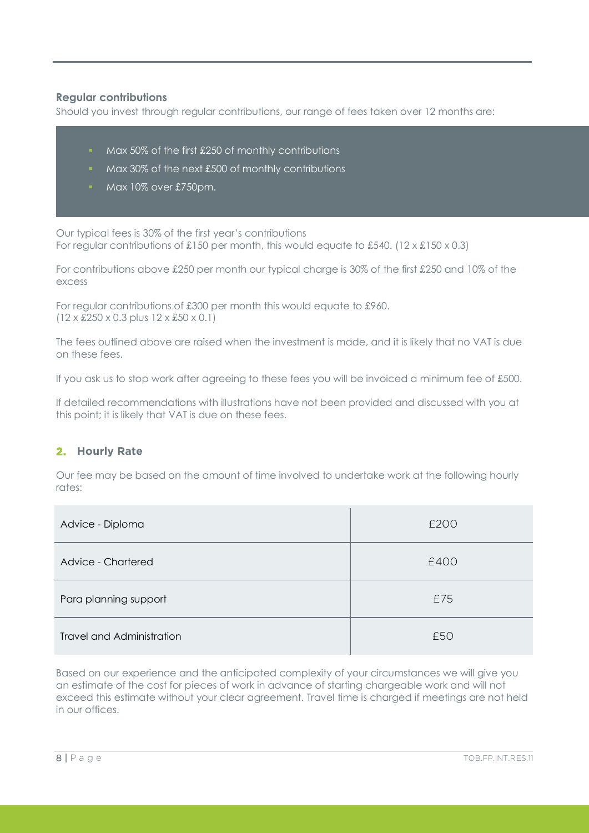# **Regular contributions**

Should you invest through regular contributions, our range of fees taken over 12 months are:

- Max 50% of the first £250 of monthly contributions
- Max 30% of the next £500 of monthly contributions
- Max 10% over £750pm.

Our typical fees is 30% of the first year's contributions For regular contributions of £150 per month, this would equate to £540. (12 x £150 x 0.3)

For contributions above £250 per month our typical charge is 30% of the first £250 and 10% of the excess

For regular contributions of £300 per month this would equate to £960. (12 x £250 x 0.3 plus 12 x £50 x 0.1)

The fees outlined above are raised when the investment is made, and it is likely that no VAT is due on these fees.

If you ask us to stop work after agreeing to these fees you will be invoiced a minimum fee of £500.

If detailed recommendations with illustrations have not been provided and discussed with you at this point; it is likely that VAT is due on these fees.

# **2. Hourly Rate**

Our fee may be based on the amount of time involved to undertake work at the following hourly rates:

| Advice - Diploma                 | £200 |  |
|----------------------------------|------|--|
| Advice - Chartered               | £400 |  |
| Para planning support            | £75  |  |
| <b>Travel and Administration</b> | £50  |  |

Based on our experience and the anticipated complexity of your circumstances we will give you an estimate of the cost for pieces of work in advance of starting chargeable work and will not exceed this estimate without your clear agreement. Travel time is charged if meetings are not held in our offices.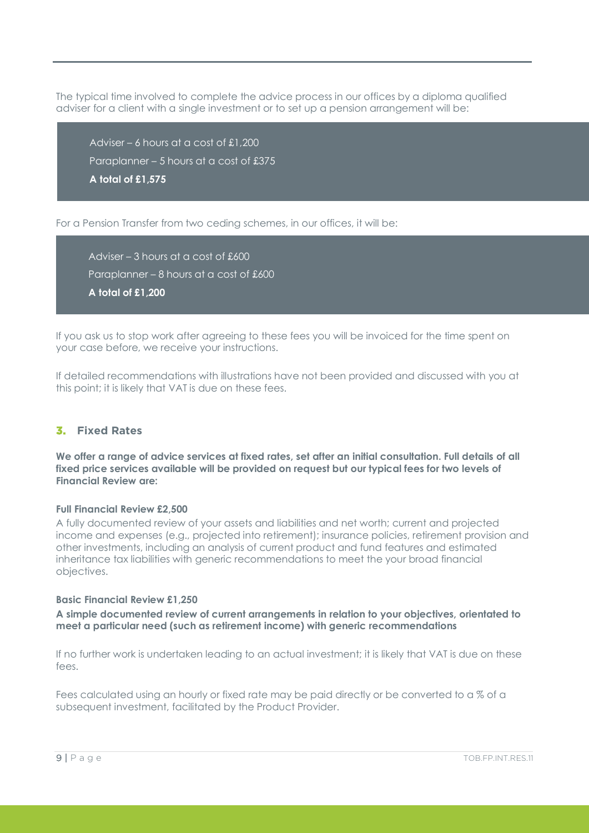The typical time involved to complete the advice process in our offices by a diploma qualified adviser for a client with a single investment or to set up a pension arrangement will be:

Adviser – 6 hours at a cost of £1,200 Paraplanner – 5 hours at a cost of £375 **A total of £1,575**

For a Pension Transfer from two ceding schemes, in our offices, it will be:

Adviser – 3 hours at a cost of £600 Paraplanner – 8 hours at a cost of £600 **A total of £1,200**

If you ask us to stop work after agreeing to these fees you will be invoiced for the time spent on your case before, we receive your instructions.

If detailed recommendations with illustrations have not been provided and discussed with you at this point; it is likely that VAT is due on these fees.

# **3. Fixed Rates**

**We offer a range of advice services at fixed rates, set after an initial consultation. Full details of all fixed price services available will be provided on request but our typical fees for two levels of Financial Review are:**

#### **Full Financial Review £2,500**

A fully documented review of your assets and liabilities and net worth; current and projected income and expenses (e.g., projected into retirement); insurance policies, retirement provision and other investments, including an analysis of current product and fund features and estimated inheritance tax liabilities with generic recommendations to meet the your broad financial objectives.

#### **Basic Financial Review £1,250**

**A simple documented review of current arrangements in relation to your objectives, orientated to meet a particular need (such as retirement income) with generic recommendations**

If no further work is undertaken leading to an actual investment; it is likely that VAT is due on these fees.

Fees calculated using an hourly or fixed rate may be paid directly or be converted to a % of a subsequent investment, facilitated by the Product Provider.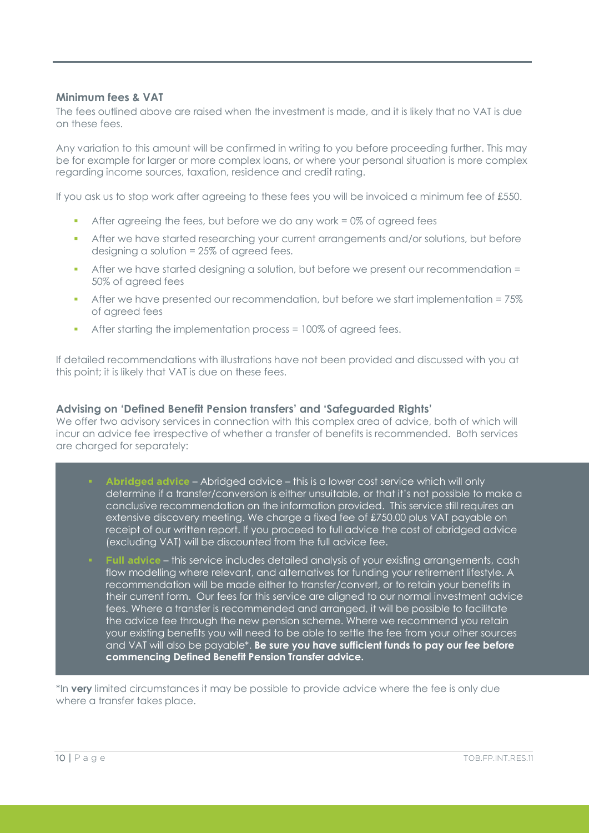# **Minimum fees & VAT**

The fees outlined above are raised when the investment is made, and it is likely that no VAT is due on these fees.

Any variation to this amount will be confirmed in writing to you before proceeding further. This may be for example for larger or more complex loans, or where your personal situation is more complex regarding income sources, taxation, residence and credit rating.

If you ask us to stop work after agreeing to these fees you will be invoiced a minimum fee of £550.

- After agreeing the fees, but before we do any work  $= 0\%$  of agreed fees
- After we have started researching your current arrangements and/or solutions, but before designing a solution = 25% of agreed fees.
- After we have started designing a solution, but before we present our recommendation = 50% of agreed fees
- After we have presented our recommendation, but before we start implementation = 75% of agreed fees
- After starting the implementation process = 100% of agreed fees.

If detailed recommendations with illustrations have not been provided and discussed with you at this point; it is likely that VAT is due on these fees.

#### **Advising on 'Defined Benefit Pension transfers' and 'Safeguarded Rights'**

We offer two advisory services in connection with this complex area of advice, both of which will incur an advice fee irrespective of whether a transfer of benefits is recommended. Both services are charged for separately:

- **Abridged advice** Abridged advice this is a lower cost service which will only determine if a transfer/conversion is either unsuitable, or that it's not possible to make a conclusive recommendation on the information provided. This service still requires an extensive discovery meeting. We charge a fixed fee of £750.00 plus VAT payable on receipt of our written report. If you proceed to full advice the cost of abridged advice (excluding VAT) will be discounted from the full advice fee.
- **Full advice** this service includes detailed analysis of your existing arrangements, cash flow modelling where relevant, and alternatives for funding your retirement lifestyle. A recommendation will be made either to transfer/convert, or to retain your benefits in their current form. Our fees for this service are aligned to our normal investment advice fees. Where a transfer is recommended and arranged, it will be possible to facilitate the advice fee through the new pension scheme. Where we recommend you retain your existing benefits you will need to be able to settle the fee from your other sources and VAT will also be payable\*. **Be sure you have sufficient funds to pay our fee before commencing Defined Benefit Pension Transfer advice.**

\*In **very** limited circumstances it may be possible to provide advice where the fee is only due where a transfer takes place.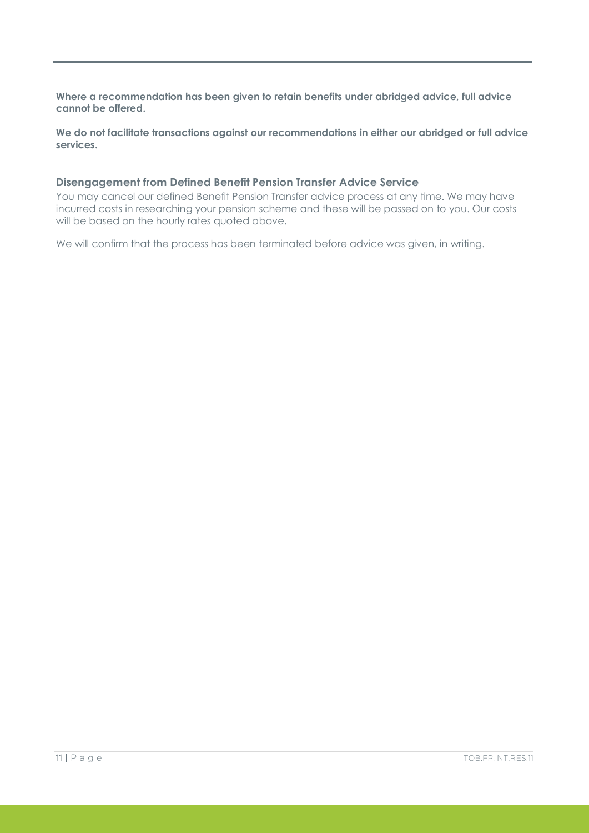**Where a recommendation has been given to retain benefits under abridged advice, full advice cannot be offered.**

**We do not facilitate transactions against our recommendations in either our abridged or full advice services.** 

# **Disengagement from Defined Benefit Pension Transfer Advice Service**

You may cancel our defined Benefit Pension Transfer advice process at any time. We may have incurred costs in researching your pension scheme and these will be passed on to you. Our costs will be based on the hourly rates quoted above.

We will confirm that the process has been terminated before advice was given, in writing.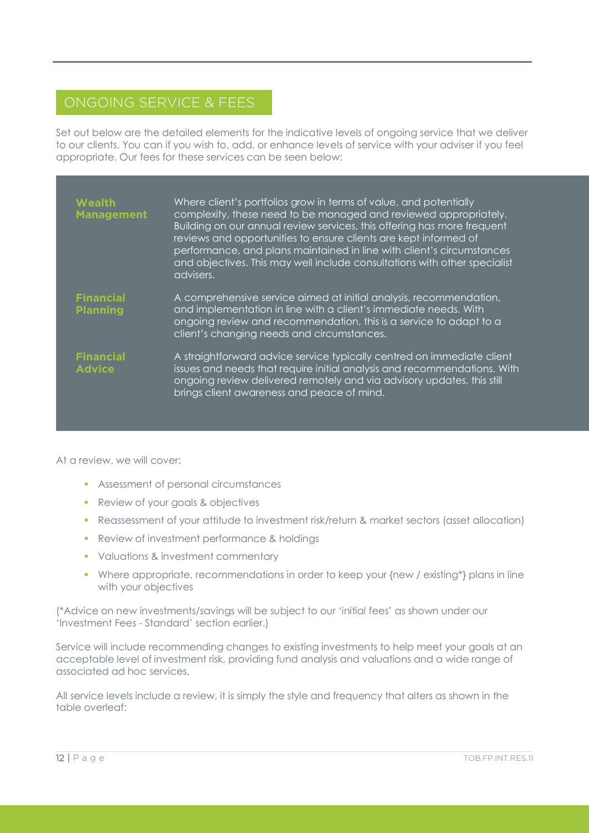# ONGOING SERVICE & FEES

Set out below are the detailed elements for the indicative levels of ongoing service that we deliver to our clients. You can if you wish to, add, or enhance levels of service with your adviser if you feel appropriate. Our fees for these services can be seen below:

| <b>Wealth</b><br><b>Management</b>  | Where client's portfolios grow in terms of value, and potentially<br>complexity, these need to be managed and reviewed appropriately.<br>Building on our annual review services, this offering has more frequent<br>reviews and opportunities to ensure clients are kept informed of<br>performance, and plans maintained in line with client's circumstances<br>and objectives. This may well include consultations with other specialist<br>advisers. |
|-------------------------------------|---------------------------------------------------------------------------------------------------------------------------------------------------------------------------------------------------------------------------------------------------------------------------------------------------------------------------------------------------------------------------------------------------------------------------------------------------------|
| <b>Financial</b><br><b>Planning</b> | A comprehensive service aimed at initial analysis, recommendation,<br>and implementation in line with a client's immediate needs. With<br>ongoing review and recommendation, this is a service to adapt to a<br>client's changing needs and circumstances.                                                                                                                                                                                              |
| <b>Financial</b><br><b>Advice</b>   | A straightforward advice service typically centred on immediate client<br>issues and needs that require initial analysis and recommendations. With<br>ongoing review delivered remotely and via advisory updates, this still<br>brings client awareness and peace of mind.                                                                                                                                                                              |

At a review, we will cover:

- **Assessment of personal circumstances**
- **Review of your goals & objectives**
- Reassessment of your attitude to investment risk/return & market sectors (asset allocation)
- **Review of investment performance & holdings**
- **Valuations & investment commentary**
- Where appropriate, recommendations in order to keep your {new / existing\*} plans in line with your objectives

(\*Advice on new investments/savings will be subject to our 'initial fees' as shown under our 'Investment Fees - Standard' section earlier.)

Service will include recommending changes to existing investments to help meet your goals at an acceptable level of investment risk, providing fund analysis and valuations and a wide range of associated ad hoc services.

All service levels include a review, it is simply the style and frequency that alters as shown in the table overleaf: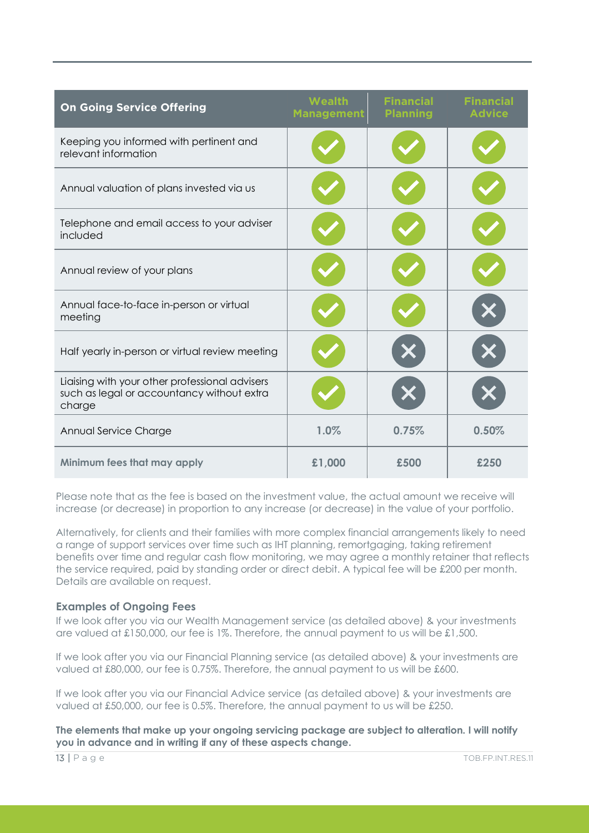| <b>On Going Service Offering</b>                                                                       | Wealth<br><b>Management</b> | <b>Financial</b><br><b>Planning</b> | <b>Financial</b><br><b>Advice</b> |
|--------------------------------------------------------------------------------------------------------|-----------------------------|-------------------------------------|-----------------------------------|
| Keeping you informed with pertinent and<br>relevant information                                        |                             |                                     |                                   |
| Annual valuation of plans invested via us                                                              |                             |                                     |                                   |
| Telephone and email access to your adviser<br>included                                                 |                             |                                     |                                   |
| Annual review of your plans                                                                            |                             |                                     |                                   |
| Annual face-to-face in-person or virtual<br>meeting                                                    |                             |                                     |                                   |
| Half yearly in-person or virtual review meeting                                                        |                             |                                     |                                   |
| Liaising with your other professional advisers<br>such as legal or accountancy without extra<br>charge |                             |                                     |                                   |
| Annual Service Charge                                                                                  | 1.0%                        | 0.75%                               | 0.50%                             |
| Minimum fees that may apply                                                                            | £1,000                      | £500                                | £250                              |

Please note that as the fee is based on the investment value, the actual amount we receive will increase (or decrease) in proportion to any increase (or decrease) in the value of your portfolio.

Alternatively, for clients and their families with more complex financial arrangements likely to need a range of support services over time such as IHT planning, remortgaging, taking retirement benefits over time and regular cash flow monitoring, we may agree a monthly retainer that reflects the service required, paid by standing order or direct debit. A typical fee will be £200 per month. Details are available on request.

#### **Examples of Ongoing Fees**

If we look after you via our Wealth Management service (as detailed above) & your investments are valued at £150,000, our fee is 1%. Therefore, the annual payment to us will be £1,500.

If we look after you via our Financial Planning service (as detailed above) & your investments are valued at £80,000, our fee is 0.75%. Therefore, the annual payment to us will be £600.

If we look after you via our Financial Advice service (as detailed above) & your investments are valued at £50,000, our fee is 0.5%. Therefore, the annual payment to us will be £250.

**The elements that make up your ongoing servicing package are subject to alteration. I will notify you in advance and in writing if any of these aspects change.**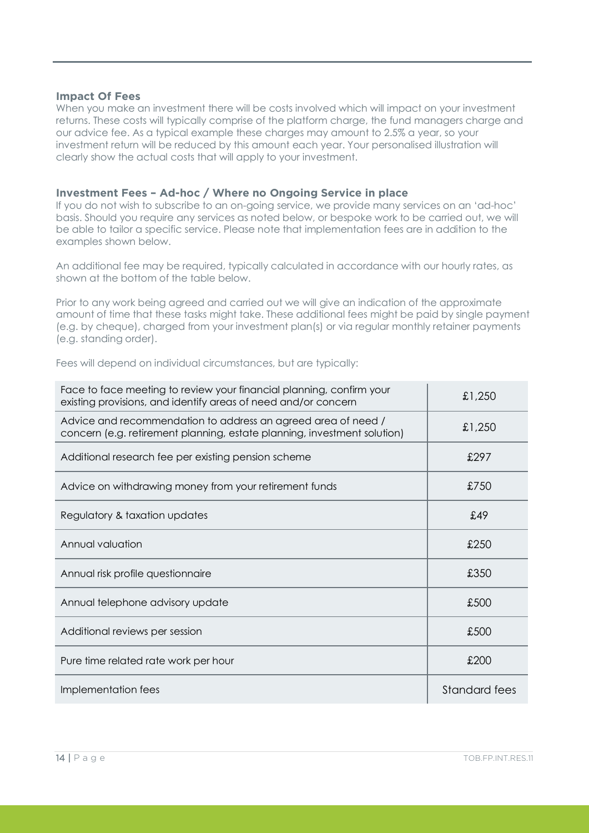#### **Impact Of Fees**

When you make an investment there will be costs involved which will impact on your investment returns. These costs will typically comprise of the platform charge, the fund managers charge and our advice fee. As a typical example these charges may amount to 2.5% a year, so your investment return will be reduced by this amount each year. Your personalised illustration will clearly show the actual costs that will apply to your investment.

# **Investment Fees – Ad-hoc / Where no Ongoing Service in place**

If you do not wish to subscribe to an on-going service, we provide many services on an 'ad-hoc' basis. Should you require any services as noted below, or bespoke work to be carried out, we will be able to tailor a specific service. Please note that implementation fees are in addition to the examples shown below.

An additional fee may be required, typically calculated in accordance with our hourly rates, as shown at the bottom of the table below.

Prior to any work being agreed and carried out we will give an indication of the approximate amount of time that these tasks might take. These additional fees might be paid by single payment (e.g. by cheque), charged from your investment plan(s) or via regular monthly retainer payments (e.g. standing order).

Fees will depend on individual circumstances, but are typically:

| Face to face meeting to review your financial planning, confirm your<br>existing provisions, and identify areas of need and/or concern    | £1,250        |
|-------------------------------------------------------------------------------------------------------------------------------------------|---------------|
| Advice and recommendation to address an agreed area of need /<br>concern (e.g. retirement planning, estate planning, investment solution) | £1,250        |
| Additional research fee per existing pension scheme                                                                                       | £297          |
| Advice on withdrawing money from your retirement funds                                                                                    | £750          |
| Regulatory & taxation updates                                                                                                             | £49           |
| Annual valuation                                                                                                                          | £250          |
| Annual risk profile questionnaire                                                                                                         | £350          |
| Annual telephone advisory update                                                                                                          | £500          |
| Additional reviews per session                                                                                                            | £500          |
| Pure time related rate work per hour                                                                                                      | £200          |
| Implementation fees                                                                                                                       | Standard fees |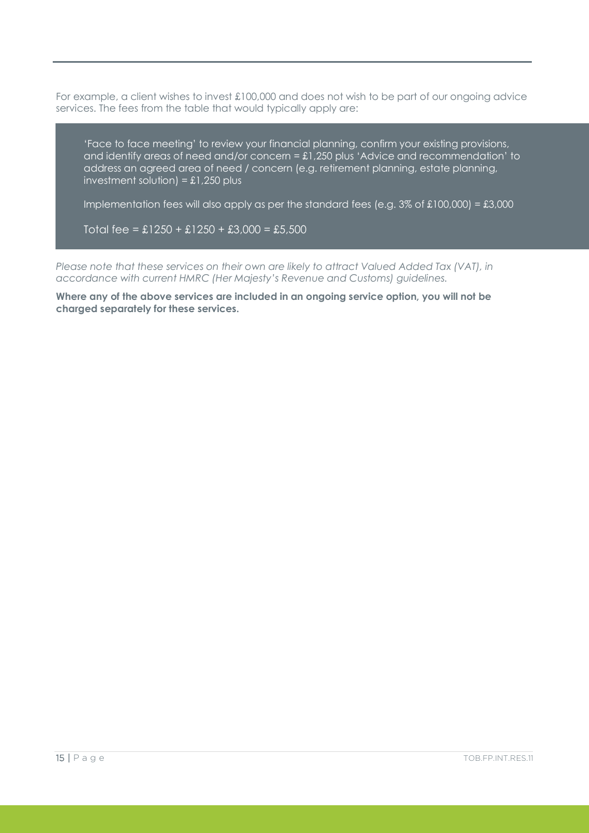For example, a client wishes to invest £100,000 and does not wish to be part of our ongoing advice services. The fees from the table that would typically apply are:

'Face to face meeting' to review your financial planning, confirm your existing provisions, and identify areas of need and/or concern = £1,250 plus 'Advice and recommendation' to address an agreed area of need / concern (e.g. retirement planning, estate planning, investment solution) =  $£1,250$  plus

Implementation fees will also apply as per the standard fees (e.g.  $3\%$  of £100,000) = £3,000

Total fee =  $£1250 + £1250 + £3,000 = £5,500$ 

*Please note that these services on their own are likely to attract Valued Added Tax (VAT), in accordance with current HMRC (Her Majesty's Revenue and Customs) guidelines.*

**Where any of the above services are included in an ongoing service option, you will not be charged separately for these services.**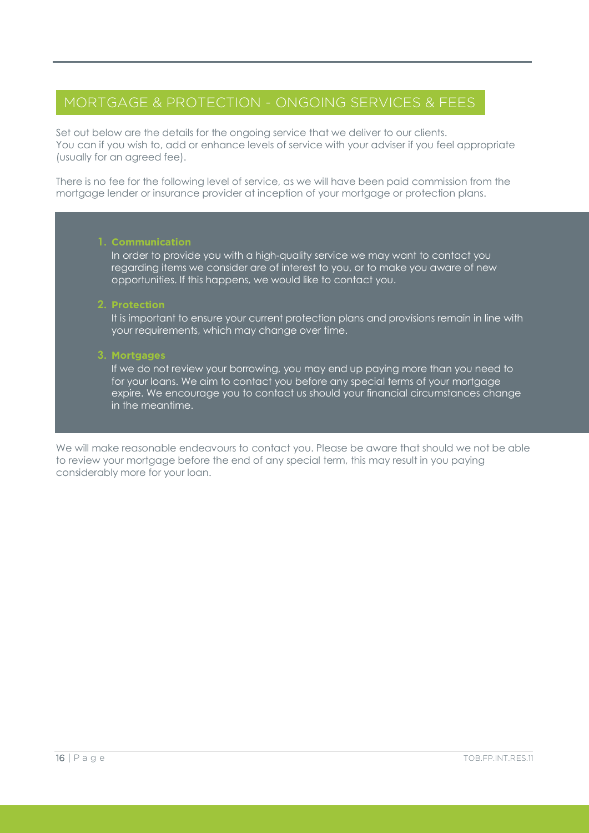# MORTGAGE & PROTECTION - ONGOING SERVICES & FEES

Set out below are the details for the ongoing service that we deliver to our clients. You can if you wish to, add or enhance levels of service with your adviser if you feel appropriate (usually for an agreed fee).

There is no fee for the following level of service, as we will have been paid commission from the mortgage lender or insurance provider at inception of your mortgage or protection plans.

#### **1. Communication**

In order to provide you with a high-quality service we may want to contact you regarding items we consider are of interest to you, or to make you aware of new opportunities. If this happens, we would like to contact you.

#### **2. Protection**

It is important to ensure your current protection plans and provisions remain in line with your requirements, which may change over time.

# **3. Mortgages**

If we do not review your borrowing, you may end up paying more than you need to for your loans. We aim to contact you before any special terms of your mortgage expire. We encourage you to contact us should your financial circumstances change in the meantime.

We will make reasonable endeavours to contact you. Please be aware that should we not be able to review your mortgage before the end of any special term, this may result in you paying considerably more for your loan.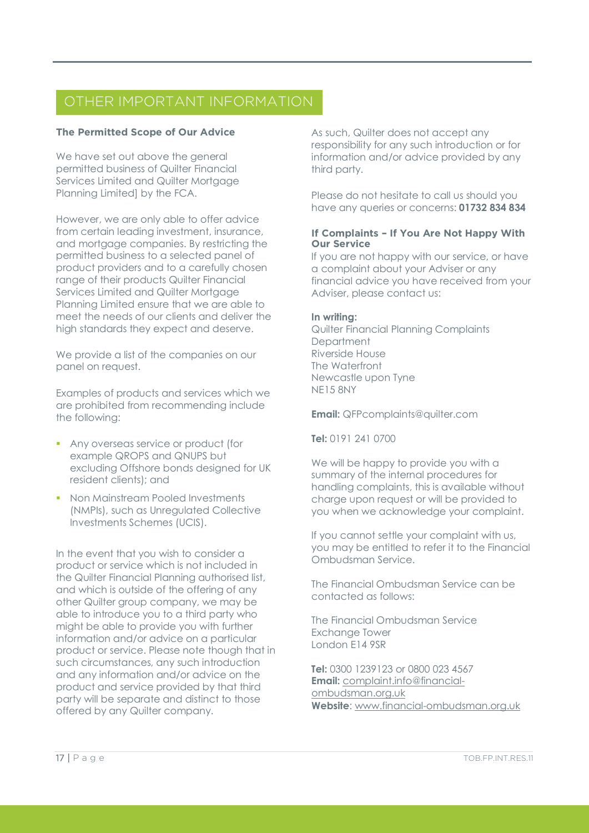# OTHER IMPORTANT INFORMATION

# **The Permitted Scope of Our Advice**

i<br>I

We have set out above the general permitted business of Quilter Financial Services Limited and Quilter Mortagge Planning Limited] by the FCA.

However, we are only able to offer advice from certain leading investment, insurance, and mortgage companies. By restricting the permitted business to a selected panel of product providers and to a carefully chosen range of their products Quilter Financial Services Limited and Quilter Mortgage Planning Limited ensure that we are able to meet the needs of our clients and deliver the high standards they expect and deserve.

We provide a list of the companies on our panel on request.

Examples of products and services which we are prohibited from recommending include the following:

- Any overseas service or product (for example QROPS and QNUPS but excluding Offshore bonds designed for UK resident clients); and
- Non Mainstream Pooled Investments (NMPIs), such as Unregulated Collective Investments Schemes (UCIS).

In the event that you wish to consider a product or service which is not included in the Quilter Financial Planning authorised list, and which is outside of the offering of any other Quilter group company, we may be able to introduce you to a third party who might be able to provide you with further information and/or advice on a particular product or service. Please note though that in such circumstances, any such introduction and any information and/or advice on the product and service provided by that third party will be separate and distinct to those offered by any Quilter company.

As such, Quilter does not accept any responsibility for any such introduction or for information and/or advice provided by any third party.

Please do not hesitate to call us should you have any queries or concerns: **01732 834 834**

# **If Complaints – If You Are Not Happy With Our Service**

If you are not happy with our service, or have a complaint about your Adviser or any financial advice you have received from your Adviser, please contact us:

# **In writing:**

Quilter Financial Planning Complaints **Department** Riverside House The Waterfront Newcastle upon Tyne NE15 8NY

**Email:** QFPcomplaints@quilter.com

**Tel:** 0191 241 0700

We will be happy to provide you with a summary of the internal procedures for handling complaints, this is available without charge upon request or will be provided to you when we acknowledge your complaint.

If you cannot settle your complaint with us, you may be entitled to refer it to the Financial Ombudsman Service.

The Financial Ombudsman Service can be contacted as follows:

The Financial Ombudsman Service Exchange Tower London E14 9SR

**Tel:** 0300 1239123 or 0800 023 4567 **Email:** [complaint.info@financial](mailto:complaint.info@financial-ombudsman.org.uk)[ombudsman.org.uk](mailto:complaint.info@financial-ombudsman.org.uk) **Website**[: www.financial-ombudsman.org.uk](http://www.financial-ombudsman.org.uk/)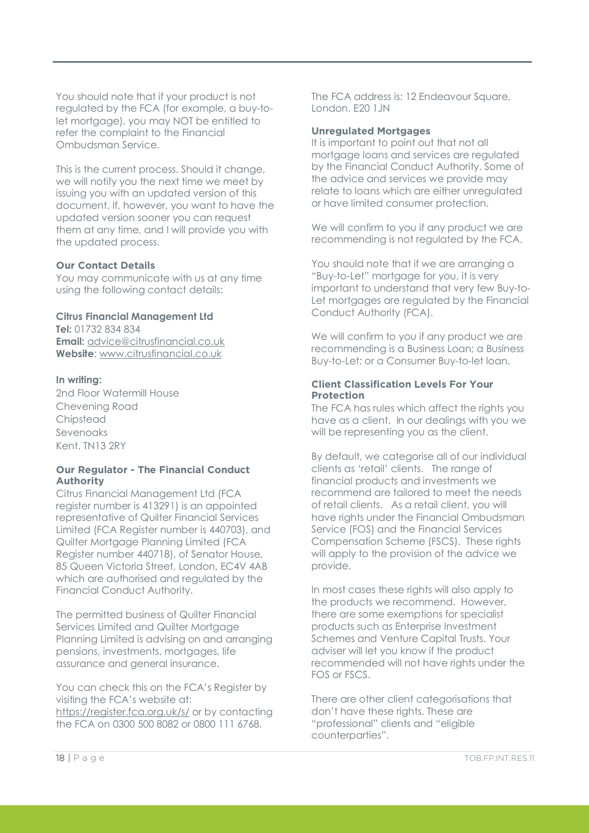You should note that if your product is not regulated by the FCA (for example, a buy-tolet mortgage), you may NOT be entitled to refer the complaint to the Financial Ombudsman Service.

This is the current process. Should it change, we will notify you the next time we meet by issuing you with an updated version of this document. If, however, you want to have the updated version sooner you can request them at any time, and I will provide you with the updated process.

#### **Our Contact Details**

You may communicate with us at any time using the following contact details:

# **Citrus Financial Management Ltd**

**Tel:** 01732 834 834 **Email:** [advice@citrusfinancial.co.uk](mailto:advice@citrusfinancial.co.uk)  **Website**: [www.citrusfinancial.co.uk](http://www.citrusfinancial.co.uk/)

#### **In writing:**

2nd Floor Watermill House Chevening Road Chipstead Sevenoaks Kent. TN13 2RY

#### **Our Regulator - The Financial Conduct Authority**

Citrus Financial Management Ltd (FCA register number is 413291) is an appointed representative of Quilter Financial Services Limited (FCA Register number is 440703), and Quilter Mortgage Planning Limited (FCA Register number 440718), of Senator House, 85 Queen Victoria Street, London, EC4V 4AB which are authorised and regulated by the Financial Conduct Authority.

The permitted business of Quilter Financial Services Limited and Quilter Mortgage Planning Limited is advising on and arranging pensions, investments, mortgages, life assurance and general insurance.

You can check this on the FCA's Register by visiting the FCA's website at: <https://register.fca.org.uk/s/> or by contacting the FCA on 0300 500 8082 or 0800 111 6768.

The FCA address is: 12 Endeavour Square, London. F<sub>20</sub> 1 IN

#### **Unregulated Mortgages**

It is important to point out that not all mortgage loans and services are regulated by the Financial Conduct Authority. Some of the advice and services we provide may relate to loans which are either unregulated or have limited consumer protection.

We will confirm to you if any product we are recommending is not regulated by the FCA.

You should note that if we are arranging a "Buy-to-Let" mortgage for you, it is very important to understand that very few Buy-to-Let mortgages are regulated by the Financial Conduct Authority (FCA).

We will confirm to you if any product we are recommending is a Business Loan; a Business Buy-to-Let; or a Consumer Buy-to-let loan.

#### **Client Classification Levels For Your Protection**

The FCA has rules which affect the rights you have as a client. In our dealings with you we will be representing you as the client.

By default, we categorise all of our individual clients as 'retail' clients. The range of financial products and investments we recommend are tailored to meet the needs of retail clients. As a retail client, you will have rights under the Financial Ombudsman Service (FOS) and the Financial Services Compensation Scheme (FSCS). These rights will apply to the provision of the advice we provide.

In most cases these rights will also apply to the products we recommend. However, there are some exemptions for specialist products such as Enterprise Investment Schemes and Venture Capital Trusts. Your adviser will let you know if the product recommended will not have rights under the FOS or FSCS.

There are other client categorisations that don't have these rights. These are "professional" clients and "eligible counterparties".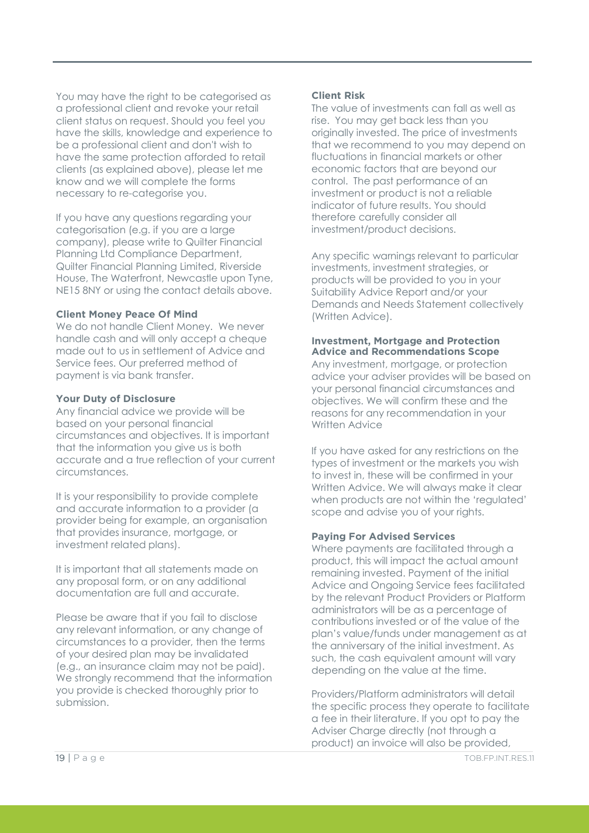You may have the right to be categorised as a professional client and revoke your retail client status on request. Should you feel you have the skills, knowledge and experience to be a professional client and don't wish to have the same protection afforded to retail clients (as explained above), please let me know and we will complete the forms necessary to re-categorise you.

If you have any questions regarding your categorisation (e.g. if you are a large company), please write to Quilter Financial Planning Ltd Compliance Department, Quilter Financial Planning Limited, Riverside House, The Waterfront, Newcastle upon Tyne, NE15 8NY or using the contact details above.

#### **Client Money Peace Of Mind**

We do not handle Client Money. We never handle cash and will only accept a cheque made out to us in settlement of Advice and Service fees. Our preferred method of payment is via bank transfer.

#### **Your Duty of Disclosure**

Any financial advice we provide will be based on your personal financial circumstances and objectives. It is important that the information you give us is both accurate and a true reflection of your current circumstances.

It is your responsibility to provide complete and accurate information to a provider (a provider being for example, an organisation that provides insurance, mortgage, or investment related plans).

It is important that all statements made on any proposal form, or on any additional documentation are full and accurate.

Please be aware that if you fail to disclose any relevant information, or any change of circumstances to a provider, then the terms of your desired plan may be invalidated (e.g., an insurance claim may not be paid). We strongly recommend that the information you provide is checked thoroughly prior to submission.

#### **Client Risk**

The value of investments can fall as well as rise. You may get back less than you originally invested. The price of investments that we recommend to you may depend on fluctuations in financial markets or other economic factors that are beyond our control. The past performance of an investment or product is not a reliable indicator of future results. You should therefore carefully consider all investment/product decisions.

Any specific warnings relevant to particular investments, investment strategies, or products will be provided to you in your Suitability Advice Report and/or your Demands and Needs Statement collectively (Written Advice).

#### **Investment, Mortgage and Protection Advice and Recommendations Scope**

Any investment, mortgage, or protection advice your adviser provides will be based on your personal financial circumstances and objectives. We will confirm these and the reasons for any recommendation in your Written Advice

If you have asked for any restrictions on the types of investment or the markets you wish to invest in, these will be confirmed in your Written Advice. We will always make it clear when products are not within the 'regulated' scope and advise you of your rights.

#### **Paying For Advised Services**

Where payments are facilitated through a product, this will impact the actual amount remaining invested. Payment of the initial Advice and Ongoing Service fees facilitated by the relevant Product Providers or Platform administrators will be as a percentage of contributions invested or of the value of the plan's value/funds under management as at the anniversary of the initial investment. As such, the cash equivalent amount will vary depending on the value at the time.

Providers/Platform administrators will detail the specific process they operate to facilitate a fee in their literature. If you opt to pay the Adviser Charge directly (not through a product) an invoice will also be provided,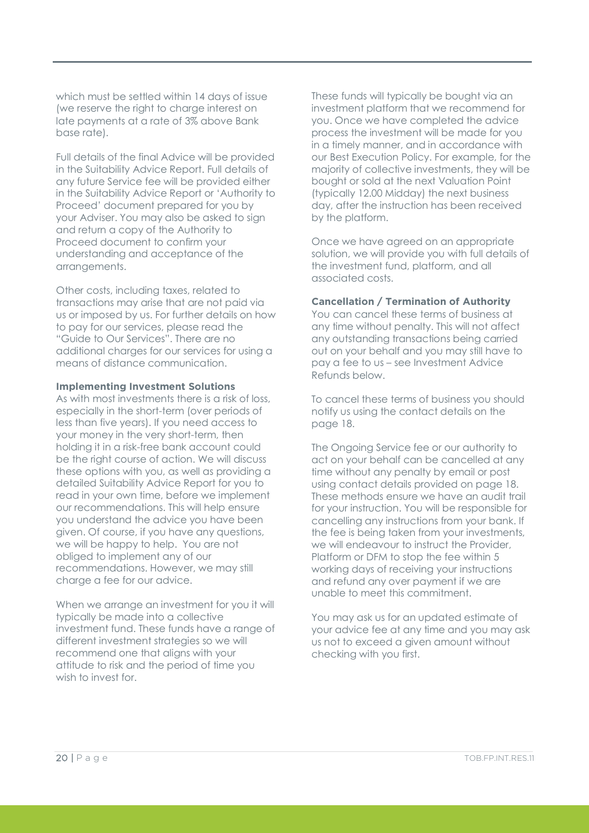which must be settled within 14 days of issue (we reserve the right to charge interest on late payments at a rate of 3% above Bank base rate).

Full details of the final Advice will be provided in the Suitability Advice Report. Full details of any future Service fee will be provided either in the Suitability Advice Report or 'Authority to Proceed' document prepared for you by your Adviser. You may also be asked to sign and return a copy of the Authority to Proceed document to confirm your understanding and acceptance of the arrangements.

Other costs, including taxes, related to transactions may arise that are not paid via us or imposed by us. For further details on how to pay for our services, please read the "Guide to Our Services". There are no additional charges for our services for using a means of distance communication.

#### **Implementing Investment Solutions**

As with most investments there is a risk of loss, especially in the short-term (over periods of less than five years). If you need access to your money in the very short-term, then holding it in a risk-free bank account could be the right course of action. We will discuss these options with you, as well as providing a detailed Suitability Advice Report for you to read in your own time, before we implement our recommendations. This will help ensure you understand the advice you have been given. Of course, if you have any questions, we will be happy to help. You are not obliged to implement any of our recommendations. However, we may still charge a fee for our advice.

When we arrange an investment for you it will typically be made into a collective investment fund. These funds have a range of different investment strategies so we will recommend one that aligns with your attitude to risk and the period of time you wish to invest for.

These funds will typically be bought via an investment platform that we recommend for you. Once we have completed the advice process the investment will be made for you in a timely manner, and in accordance with our Best Execution Policy. For example, for the majority of collective investments, they will be bought or sold at the next Valuation Point (typically 12.00 Midday) the next business day, after the instruction has been received by the platform.

Once we have agreed on an appropriate solution, we will provide you with full details of the investment fund, platform, and all associated costs.

#### **Cancellation / Termination of Authority**

You can cancel these terms of business at any time without penalty. This will not affect any outstanding transactions being carried out on your behalf and you may still have to pay a fee to us – see Investment Advice Refunds below.

To cancel these terms of business you should notify us using the contact details on the page 18.

The Ongoing Service fee or our authority to act on your behalf can be cancelled at any time without any penalty by email or post using contact details provided on page 18. These methods ensure we have an audit trail for your instruction. You will be responsible for cancelling any instructions from your bank. If the fee is being taken from your investments, we will endeavour to instruct the Provider, Platform or DFM to stop the fee within 5 working days of receiving your instructions and refund any over payment if we are unable to meet this commitment.

You may ask us for an updated estimate of your advice fee at any time and you may ask us not to exceed a given amount without checking with you first.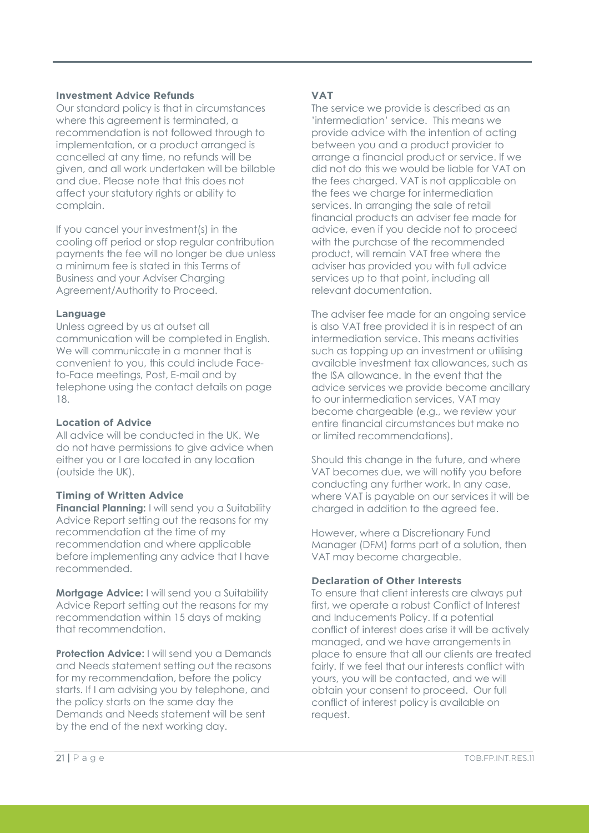# **Investment Advice Refunds**

Our standard policy is that in circumstances where this agreement is terminated, a recommendation is not followed through to implementation, or a product arranged is cancelled at any time, no refunds will be given, and all work undertaken will be billable and due. Please note that this does not affect your statutory rights or ability to complain.

If you cancel your investment(s) in the cooling off period or stop regular contribution payments the fee will no longer be due unless a minimum fee is stated in this Terms of Business and your Adviser Charging Agreement/Authority to Proceed.

# **Language**

Unless agreed by us at outset all communication will be completed in English. We will communicate in a manner that is convenient to you, this could include Faceto-Face meetings, Post, E-mail and by telephone using the contact details on page 18.

### **Location of Advice**

All advice will be conducted in the UK. We do not have permissions to give advice when either you or I are located in any location (outside the UK).

# **Timing of Written Advice**

**Financial Planning:** I will send you a Suitability Advice Report setting out the reasons for my recommendation at the time of my recommendation and where applicable before implementing any advice that I have recommended.

**Mortgage Advice:** I will send you a Suitability Advice Report setting out the reasons for my recommendation within 15 days of making that recommendation.

**Protection Advice:** I will send you a Demands and Needs statement setting out the reasons for my recommendation, before the policy starts. If I am advising you by telephone, and the policy starts on the same day the Demands and Needs statement will be sent by the end of the next working day.

# **VAT**

The service we provide is described as an 'intermediation' service. This means we provide advice with the intention of acting between you and a product provider to arrange a financial product or service. If we did not do this we would be liable for VAT on the fees charged. VAT is not applicable on the fees we charge for intermediation services. In arranging the sale of retail financial products an adviser fee made for advice, even if you decide not to proceed with the purchase of the recommended product, will remain VAT free where the adviser has provided you with full advice services up to that point, including all relevant documentation.

The adviser fee made for an ongoing service is also VAT free provided it is in respect of an intermediation service. This means activities such as topping up an investment or utilising available investment tax allowances, such as the ISA allowance. In the event that the advice services we provide become ancillary to our intermediation services, VAT may become chargeable (e.g., we review your entire financial circumstances but make no or limited recommendations).

Should this change in the future, and where VAT becomes due, we will notify you before conducting any further work. In any case, where VAT is payable on our services it will be charged in addition to the agreed fee.

However, where a Discretionary Fund Manager (DFM) forms part of a solution, then VAT may become chargeable.

# **Declaration of Other Interests**

To ensure that client interests are always put first, we operate a robust Conflict of Interest and Inducements Policy. If a potential conflict of interest does arise it will be actively managed, and we have arrangements in place to ensure that all our clients are treated fairly. If we feel that our interests conflict with yours, you will be contacted, and we will obtain your consent to proceed. Our full conflict of interest policy is available on request.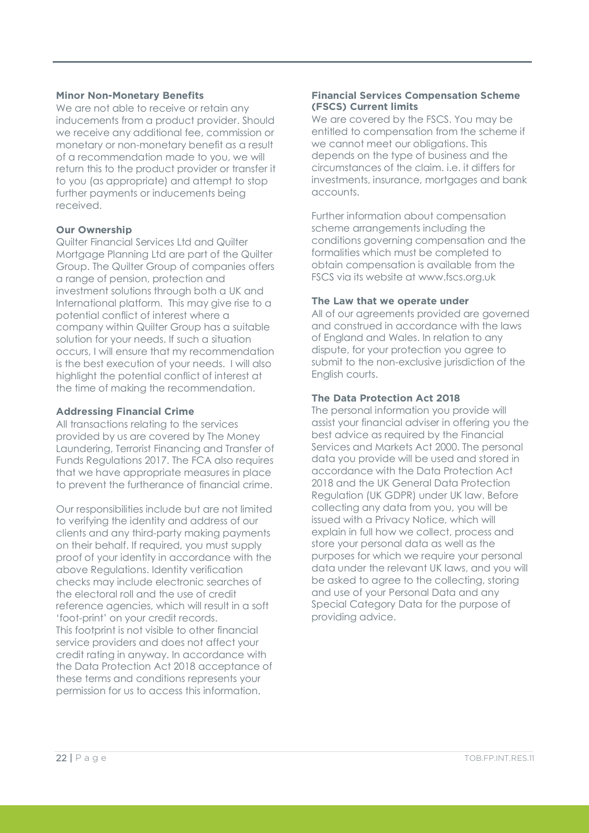#### **Minor Non-Monetary Benefits**

We are not able to receive or retain any inducements from a product provider. Should we receive any additional fee, commission or monetary or non-monetary benefit as a result of a recommendation made to you, we will return this to the product provider or transfer it to you (as appropriate) and attempt to stop further payments or inducements being received.

#### **Our Ownership**

Quilter Financial Services Ltd and Quilter Mortgage Planning Ltd are part of the Quilter Group. The Quilter Group of companies offers a range of pension, protection and investment solutions through both a UK and International platform. This may give rise to a potential conflict of interest where a company within Quilter Group has a suitable solution for your needs. If such a situation occurs, I will ensure that my recommendation is the best execution of your needs. I will also highlight the potential conflict of interest at the time of making the recommendation.

# **Addressing Financial Crime**

All transactions relating to the services provided by us are covered by The Money Laundering, Terrorist Financing and Transfer of Funds Regulations 2017. The FCA also requires that we have appropriate measures in place to prevent the furtherance of financial crime.

Our responsibilities include but are not limited to verifying the identity and address of our clients and any third-party making payments on their behalf. If required, you must supply proof of your identity in accordance with the above Regulations. Identity verification checks may include electronic searches of the electoral roll and the use of credit reference agencies, which will result in a soft 'foot-print' on your credit records. This footprint is not visible to other financial service providers and does not affect your credit rating in anyway. In accordance with the Data Protection Act 2018 acceptance of these terms and conditions represents your permission for us to access this information.

#### **Financial Services Compensation Scheme (FSCS) Current limits**

We are covered by the FSCS. You may be entitled to compensation from the scheme if we cannot meet our obligations. This depends on the type of business and the circumstances of the claim. i.e. it differs for investments, insurance, mortgages and bank accounts.

Further information about compensation scheme arrangements including the conditions governing compensation and the formalities which must be completed to obtain compensation is available from the FSCS via its website at www.fscs.org.uk

# **The Law that we operate under**

All of our agreements provided are governed and construed in accordance with the laws of England and Wales. In relation to any dispute, for your protection you agree to submit to the non-exclusive jurisdiction of the English courts.

# **The Data Protection Act 2018**

The personal information you provide will assist your financial adviser in offering you the best advice as required by the Financial Services and Markets Act 2000. The personal data you provide will be used and stored in accordance with the Data Protection Act 2018 and the UK General Data Protection Regulation (UK GDPR) under UK law. Before collecting any data from you, you will be issued with a Privacy Notice, which will explain in full how we collect, process and store your personal data as well as the purposes for which we require your personal data under the relevant UK laws, and you will be asked to agree to the collecting, storing and use of your Personal Data and any Special Category Data for the purpose of providing advice.